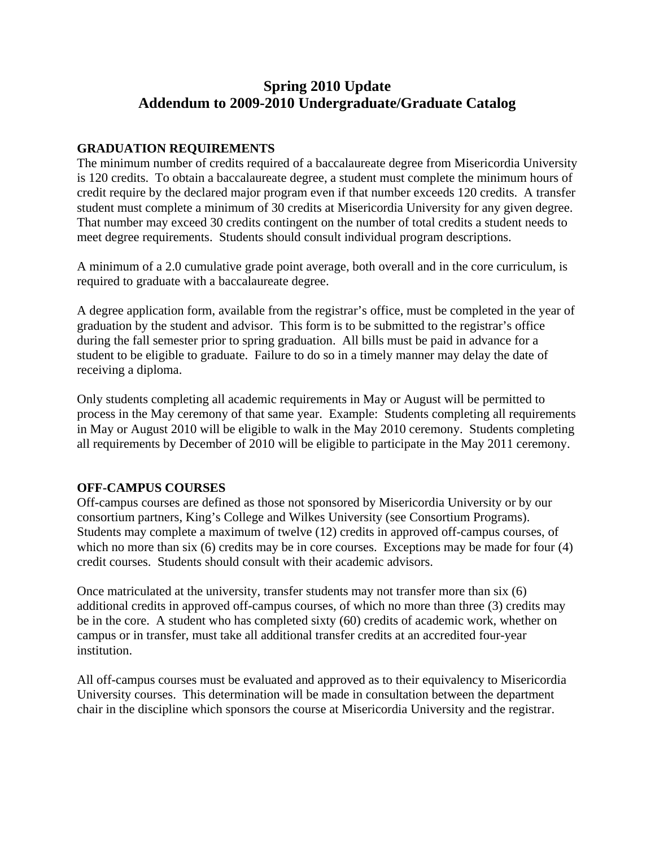# **Spring 2010 Update Addendum to 2009-2010 Undergraduate/Graduate Catalog**

### **GRADUATION REQUIREMENTS**

The minimum number of credits required of a baccalaureate degree from Misericordia University is 120 credits. To obtain a baccalaureate degree, a student must complete the minimum hours of credit require by the declared major program even if that number exceeds 120 credits. A transfer student must complete a minimum of 30 credits at Misericordia University for any given degree. That number may exceed 30 credits contingent on the number of total credits a student needs to meet degree requirements. Students should consult individual program descriptions.

A minimum of a 2.0 cumulative grade point average, both overall and in the core curriculum, is required to graduate with a baccalaureate degree.

A degree application form, available from the registrar's office, must be completed in the year of graduation by the student and advisor. This form is to be submitted to the registrar's office during the fall semester prior to spring graduation. All bills must be paid in advance for a student to be eligible to graduate. Failure to do so in a timely manner may delay the date of receiving a diploma.

Only students completing all academic requirements in May or August will be permitted to process in the May ceremony of that same year. Example: Students completing all requirements in May or August 2010 will be eligible to walk in the May 2010 ceremony. Students completing all requirements by December of 2010 will be eligible to participate in the May 2011 ceremony.

## **OFF-CAMPUS COURSES**

Off-campus courses are defined as those not sponsored by Misericordia University or by our consortium partners, King's College and Wilkes University (see Consortium Programs). Students may complete a maximum of twelve (12) credits in approved off-campus courses, of which no more than six (6) credits may be in core courses. Exceptions may be made for four (4) credit courses. Students should consult with their academic advisors.

Once matriculated at the university, transfer students may not transfer more than six (6) additional credits in approved off-campus courses, of which no more than three (3) credits may be in the core. A student who has completed sixty (60) credits of academic work, whether on campus or in transfer, must take all additional transfer credits at an accredited four-year institution.

All off-campus courses must be evaluated and approved as to their equivalency to Misericordia University courses. This determination will be made in consultation between the department chair in the discipline which sponsors the course at Misericordia University and the registrar.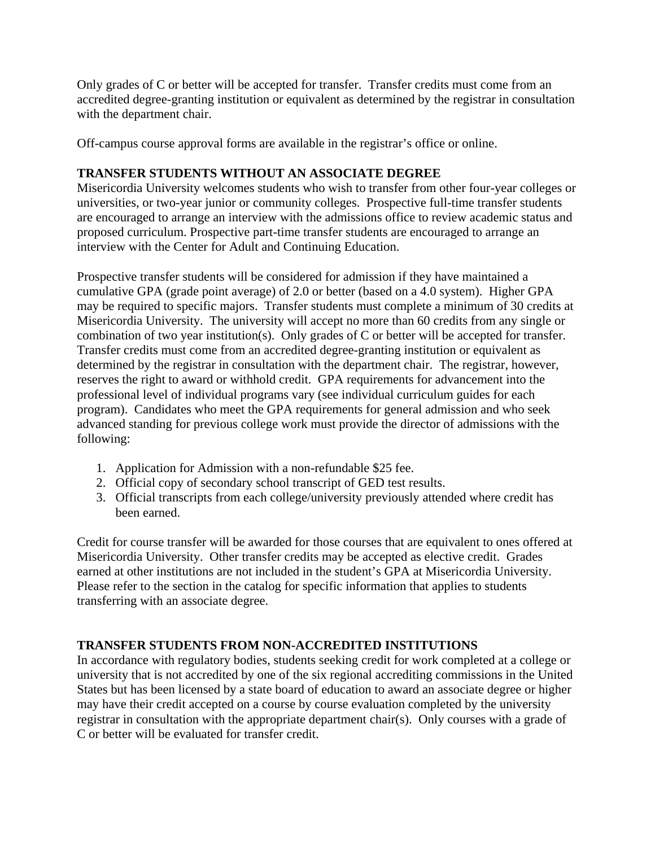Only grades of C or better will be accepted for transfer. Transfer credits must come from an accredited degree-granting institution or equivalent as determined by the registrar in consultation with the department chair.

Off-campus course approval forms are available in the registrar's office or online.

## **TRANSFER STUDENTS WITHOUT AN ASSOCIATE DEGREE**

Misericordia University welcomes students who wish to transfer from other four-year colleges or universities, or two-year junior or community colleges. Prospective full-time transfer students are encouraged to arrange an interview with the admissions office to review academic status and proposed curriculum. Prospective part-time transfer students are encouraged to arrange an interview with the Center for Adult and Continuing Education.

Prospective transfer students will be considered for admission if they have maintained a cumulative GPA (grade point average) of 2.0 or better (based on a 4.0 system). Higher GPA may be required to specific majors. Transfer students must complete a minimum of 30 credits at Misericordia University. The university will accept no more than 60 credits from any single or combination of two year institution(s). Only grades of C or better will be accepted for transfer. Transfer credits must come from an accredited degree-granting institution or equivalent as determined by the registrar in consultation with the department chair. The registrar, however, reserves the right to award or withhold credit. GPA requirements for advancement into the professional level of individual programs vary (see individual curriculum guides for each program). Candidates who meet the GPA requirements for general admission and who seek advanced standing for previous college work must provide the director of admissions with the following:

- 1. Application for Admission with a non-refundable \$25 fee.
- 2. Official copy of secondary school transcript of GED test results.
- 3. Official transcripts from each college/university previously attended where credit has been earned.

Credit for course transfer will be awarded for those courses that are equivalent to ones offered at Misericordia University. Other transfer credits may be accepted as elective credit. Grades earned at other institutions are not included in the student's GPA at Misericordia University. Please refer to the section in the catalog for specific information that applies to students transferring with an associate degree.

## **TRANSFER STUDENTS FROM NON-ACCREDITED INSTITUTIONS**

In accordance with regulatory bodies, students seeking credit for work completed at a college or university that is not accredited by one of the six regional accrediting commissions in the United States but has been licensed by a state board of education to award an associate degree or higher may have their credit accepted on a course by course evaluation completed by the university registrar in consultation with the appropriate department chair(s). Only courses with a grade of C or better will be evaluated for transfer credit.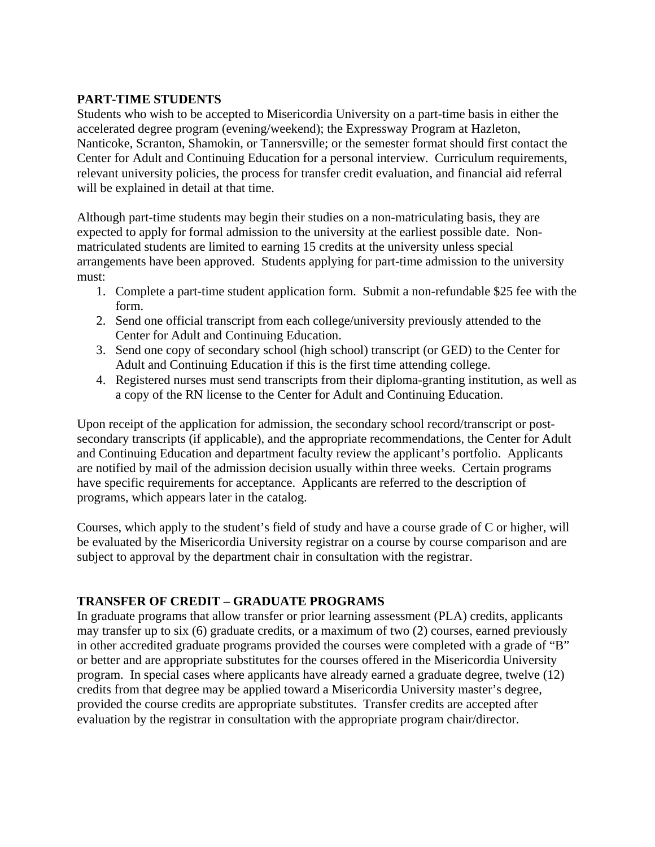## **PART-TIME STUDENTS**

Students who wish to be accepted to Misericordia University on a part-time basis in either the accelerated degree program (evening/weekend); the Expressway Program at Hazleton, Nanticoke, Scranton, Shamokin, or Tannersville; or the semester format should first contact the Center for Adult and Continuing Education for a personal interview. Curriculum requirements, relevant university policies, the process for transfer credit evaluation, and financial aid referral will be explained in detail at that time.

Although part-time students may begin their studies on a non-matriculating basis, they are expected to apply for formal admission to the university at the earliest possible date. Nonmatriculated students are limited to earning 15 credits at the university unless special arrangements have been approved. Students applying for part-time admission to the university must:

- 1. Complete a part-time student application form. Submit a non-refundable \$25 fee with the form.
- 2. Send one official transcript from each college/university previously attended to the Center for Adult and Continuing Education.
- 3. Send one copy of secondary school (high school) transcript (or GED) to the Center for Adult and Continuing Education if this is the first time attending college.
- 4. Registered nurses must send transcripts from their diploma-granting institution, as well as a copy of the RN license to the Center for Adult and Continuing Education.

Upon receipt of the application for admission, the secondary school record/transcript or postsecondary transcripts (if applicable), and the appropriate recommendations, the Center for Adult and Continuing Education and department faculty review the applicant's portfolio. Applicants are notified by mail of the admission decision usually within three weeks. Certain programs have specific requirements for acceptance. Applicants are referred to the description of programs, which appears later in the catalog.

Courses, which apply to the student's field of study and have a course grade of C or higher, will be evaluated by the Misericordia University registrar on a course by course comparison and are subject to approval by the department chair in consultation with the registrar.

## **TRANSFER OF CREDIT – GRADUATE PROGRAMS**

In graduate programs that allow transfer or prior learning assessment (PLA) credits, applicants may transfer up to six (6) graduate credits, or a maximum of two (2) courses, earned previously in other accredited graduate programs provided the courses were completed with a grade of "B" or better and are appropriate substitutes for the courses offered in the Misericordia University program. In special cases where applicants have already earned a graduate degree, twelve (12) credits from that degree may be applied toward a Misericordia University master's degree, provided the course credits are appropriate substitutes. Transfer credits are accepted after evaluation by the registrar in consultation with the appropriate program chair/director.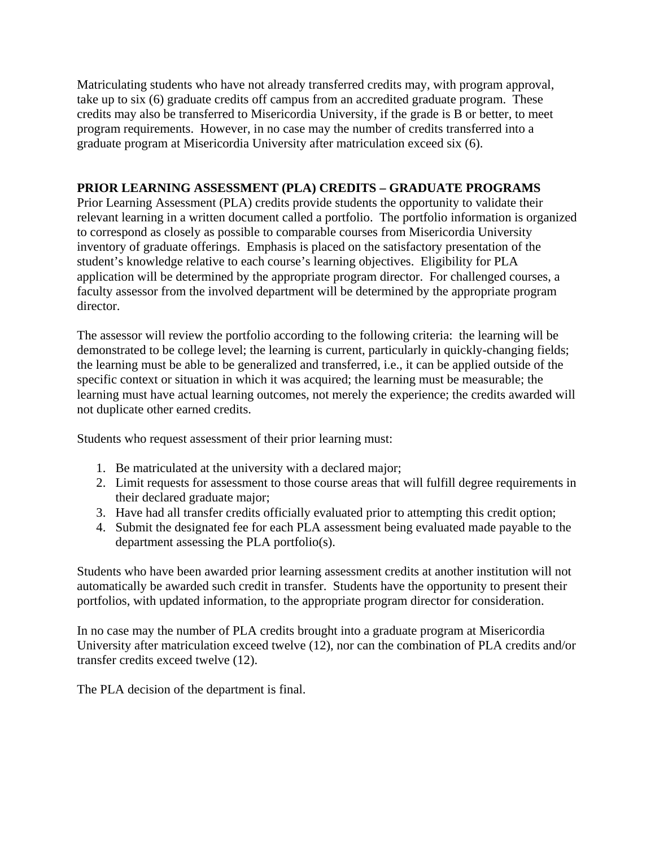Matriculating students who have not already transferred credits may, with program approval, take up to six (6) graduate credits off campus from an accredited graduate program. These credits may also be transferred to Misericordia University, if the grade is B or better, to meet program requirements. However, in no case may the number of credits transferred into a graduate program at Misericordia University after matriculation exceed six (6).

## **PRIOR LEARNING ASSESSMENT (PLA) CREDITS – GRADUATE PROGRAMS**

Prior Learning Assessment (PLA) credits provide students the opportunity to validate their relevant learning in a written document called a portfolio. The portfolio information is organized to correspond as closely as possible to comparable courses from Misericordia University inventory of graduate offerings. Emphasis is placed on the satisfactory presentation of the student's knowledge relative to each course's learning objectives. Eligibility for PLA application will be determined by the appropriate program director. For challenged courses, a faculty assessor from the involved department will be determined by the appropriate program director.

The assessor will review the portfolio according to the following criteria: the learning will be demonstrated to be college level; the learning is current, particularly in quickly-changing fields; the learning must be able to be generalized and transferred, i.e., it can be applied outside of the specific context or situation in which it was acquired; the learning must be measurable; the learning must have actual learning outcomes, not merely the experience; the credits awarded will not duplicate other earned credits.

Students who request assessment of their prior learning must:

- 1. Be matriculated at the university with a declared major;
- 2. Limit requests for assessment to those course areas that will fulfill degree requirements in their declared graduate major;
- 3. Have had all transfer credits officially evaluated prior to attempting this credit option;
- 4. Submit the designated fee for each PLA assessment being evaluated made payable to the department assessing the PLA portfolio(s).

Students who have been awarded prior learning assessment credits at another institution will not automatically be awarded such credit in transfer. Students have the opportunity to present their portfolios, with updated information, to the appropriate program director for consideration.

In no case may the number of PLA credits brought into a graduate program at Misericordia University after matriculation exceed twelve (12), nor can the combination of PLA credits and/or transfer credits exceed twelve (12).

The PLA decision of the department is final.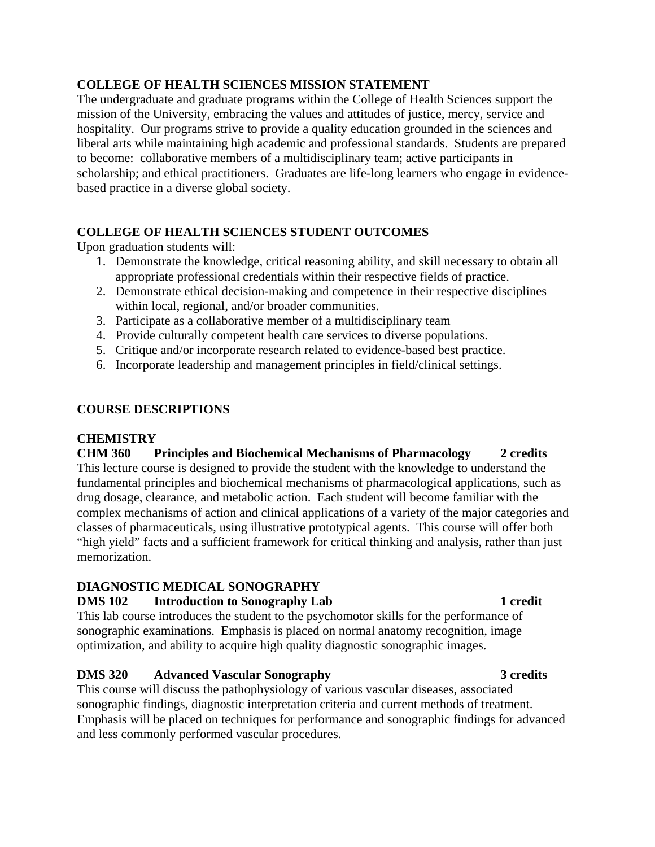## **COLLEGE OF HEALTH SCIENCES MISSION STATEMENT**

The undergraduate and graduate programs within the College of Health Sciences support the mission of the University, embracing the values and attitudes of justice, mercy, service and hospitality. Our programs strive to provide a quality education grounded in the sciences and liberal arts while maintaining high academic and professional standards. Students are prepared to become: collaborative members of a multidisciplinary team; active participants in scholarship; and ethical practitioners. Graduates are life-long learners who engage in evidencebased practice in a diverse global society.

## **COLLEGE OF HEALTH SCIENCES STUDENT OUTCOMES**

Upon graduation students will:

- 1. Demonstrate the knowledge, critical reasoning ability, and skill necessary to obtain all appropriate professional credentials within their respective fields of practice.
- 2. Demonstrate ethical decision-making and competence in their respective disciplines within local, regional, and/or broader communities.
- 3. Participate as a collaborative member of a multidisciplinary team
- 4. Provide culturally competent health care services to diverse populations.
- 5. Critique and/or incorporate research related to evidence-based best practice.
- 6. Incorporate leadership and management principles in field/clinical settings.

## **COURSE DESCRIPTIONS**

## **CHEMISTRY**

**CHM 360 Principles and Biochemical Mechanisms of Pharmacology 2 credits**  This lecture course is designed to provide the student with the knowledge to understand the fundamental principles and biochemical mechanisms of pharmacological applications, such as drug dosage, clearance, and metabolic action. Each student will become familiar with the complex mechanisms of action and clinical applications of a variety of the major categories and classes of pharmaceuticals, using illustrative prototypical agents. This course will offer both "high yield" facts and a sufficient framework for critical thinking and analysis, rather than just memorization.

## **DIAGNOSTIC MEDICAL SONOGRAPHY**

## **DMS 102** Introduction to Sonography Lab 1 credit 1

This lab course introduces the student to the psychomotor skills for the performance of sonographic examinations. Emphasis is placed on normal anatomy recognition, image optimization, and ability to acquire high quality diagnostic sonographic images.

## **DMS 320 Advanced Vascular Sonography 3 credits**

This course will discuss the pathophysiology of various vascular diseases, associated sonographic findings, diagnostic interpretation criteria and current methods of treatment. Emphasis will be placed on techniques for performance and sonographic findings for advanced and less commonly performed vascular procedures.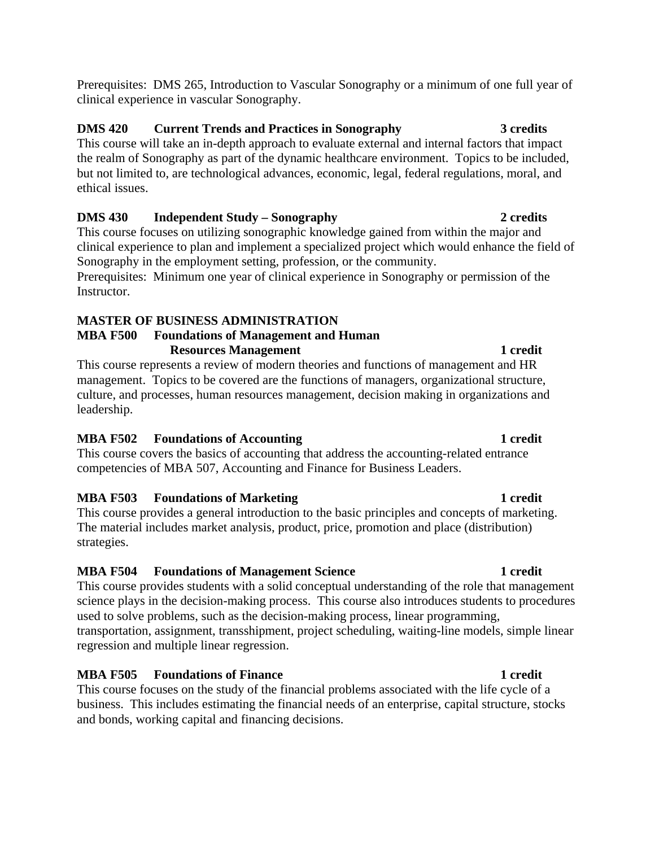Prerequisites: DMS 265, Introduction to Vascular Sonography or a minimum of one full year of clinical experience in vascular Sonography.

# **DMS 420 Current Trends and Practices in Sonography 3 credits**

This course will take an in-depth approach to evaluate external and internal factors that impact the realm of Sonography as part of the dynamic healthcare environment. Topics to be included, but not limited to, are technological advances, economic, legal, federal regulations, moral, and ethical issues.

## **DMS 430 Independent Study – Sonography 2 credits**

This course focuses on utilizing sonographic knowledge gained from within the major and clinical experience to plan and implement a specialized project which would enhance the field of Sonography in the employment setting, profession, or the community. Prerequisites: Minimum one year of clinical experience in Sonography or permission of the

Instructor.

## **MASTER OF BUSINESS ADMINISTRATION**

## **MBA F500 Foundations of Management and Human Resources Management** 1 credit

This course represents a review of modern theories and functions of management and HR management. Topics to be covered are the functions of managers, organizational structure, culture, and processes, human resources management, decision making in organizations and leadership.

# **MBA F502 Foundations of Accounting 1 credit 1 credit**

This course covers the basics of accounting that address the accounting-related entrance competencies of MBA 507, Accounting and Finance for Business Leaders.

# **MBA F503** Foundations of Marketing **1 1 1 1 1 1 1**

This course provides a general introduction to the basic principles and concepts of marketing. The material includes market analysis, product, price, promotion and place (distribution) strategies.

# **MBA F504 Foundations of Management Science 1 credit 1 credit**

This course provides students with a solid conceptual understanding of the role that management science plays in the decision-making process. This course also introduces students to procedures used to solve problems, such as the decision-making process, linear programming, transportation, assignment, transshipment, project scheduling, waiting-line models, simple linear regression and multiple linear regression.

# **MBA F505 Foundations of Finance 1 credit 1 credit**

This course focuses on the study of the financial problems associated with the life cycle of a business. This includes estimating the financial needs of an enterprise, capital structure, stocks and bonds, working capital and financing decisions.